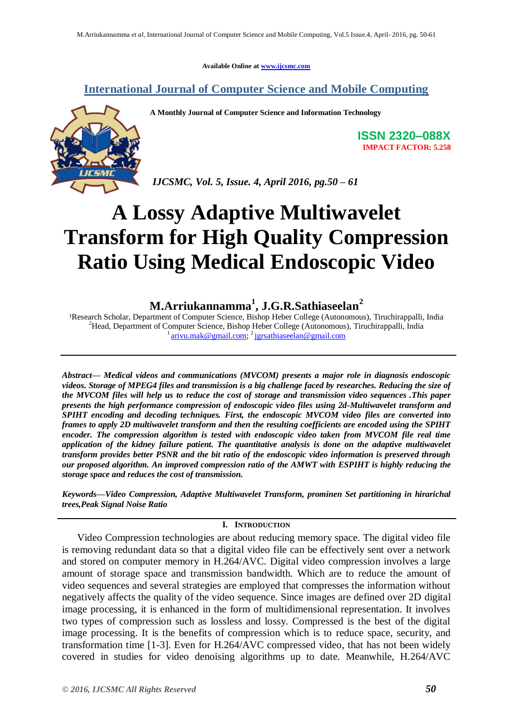**Available Online at [www.ijcsmc.com](http://www.ijcsmc.com/)**

# **International Journal of Computer Science and Mobile Computing**

**A Monthly Journal of Computer Science and Information Technology**



**ISSN 2320–088X IMPACT FACTOR: 5.258**

*IJCSMC, Vol. 5, Issue. 4, April 2016, pg.50 – 61*

# **A Lossy Adaptive Multiwavelet Transform for High Quality Compression Ratio Using Medical Endoscopic Video**

# **M.Arriukannamma<sup>1</sup> , J.G.R.Sathiaseelan<sup>2</sup>**

<sup>1</sup>Research Scholar, Department of Computer Science, Bishop Heber College (Autonomous), Tiruchirappalli, India <sup>2</sup>Head, Department of Computer Science, Bishop Heber College (Autonomous), Tiruchirappalli, India 1 [arivu.mak@gmail.com;](mailto:arivu.mak@gmail.com) 2 [jgrsathiaseelan@gmail.com](mailto:jgrsathiaseelan@gmail.com)

*Abstract— Medical videos and communications (MVCOM) presents a major role in diagnosis endoscopic videos. Storage of MPEG4 files and transmission is a big challenge faced by researches. Reducing the size of the MVCOM files will help us to reduce the cost of storage and transmission video sequences .This paper presents the high performance compression of endoscopic video files using 2d-Multiwavelet transform and SPIHT encoding and decoding techniques. First, the endoscopic MVCOM video files are converted into frames to apply 2D multiwavelet transform and then the resulting coefficients are encoded using the SPIHT encoder. The compression algorithm is tested with endoscopic video taken from MVCOM file real time application of the kidney failure patient. The quantitative analysis is done on the adaptive multiwavelet transform provides better PSNR and the bit ratio of the endoscopic video information is preserved through our proposed algorithm. An improved compression ratio of the AMWT with ESPIHT is highly reducing the storage space and reduces the cost of transmission.* 

*Keywords—Video Compression, Adaptive Multiwavelet Transform, prominen Set partitioning in hirarichal trees,Peak Signal Noise Ratio*

### **I. INTRODUCTION**

Video Compression technologies are about reducing memory space. The digital video file is removing redundant data so that a digital video file can be effectively sent over a network and stored on computer memory in H.264/AVC. Digital video compression involves a large amount of storage space and transmission bandwidth. Which are to reduce the amount of video sequences and several strategies are employed that compresses the information without negatively affects the quality of the video sequence. Since images are defined over 2D digital image processing, it is enhanced in the form of multidimensional representation. It involves two types of compression such as lossless and lossy. Compressed is the best of the digital image processing. It is the benefits of compression which is to reduce space, security, and transformation time [1-3]. Even for H.264/AVC compressed video, that has not been widely covered in studies for video denoising algorithms up to date. Meanwhile, H.264/AVC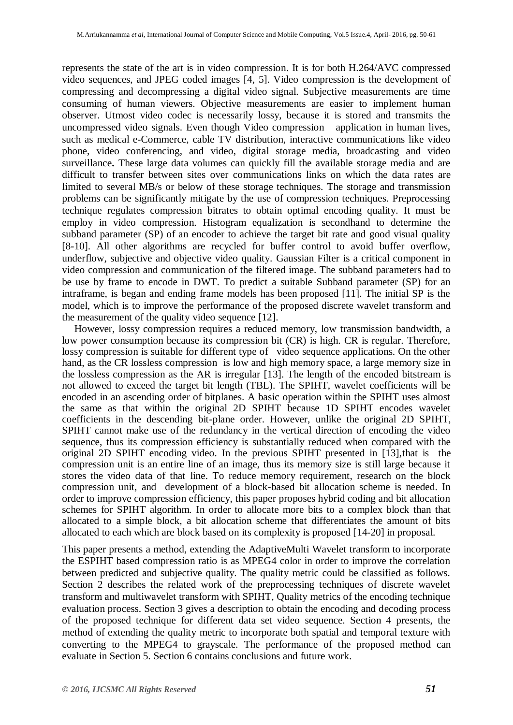represents the state of the art is in video compression. It is for both H.264/AVC compressed video sequences, and JPEG coded images [4, 5]. Video compression is the development of compressing and decompressing a digital video signal. Subjective measurements are time consuming of human viewers. Objective measurements are easier to implement human observer. Utmost video codec is necessarily lossy, because it is stored and transmits the uncompressed video signals. Even though Video compression application in human lives, such as medical e-Commerce, cable TV distribution, interactive communications like video phone, video conferencing, and video, digital storage media, broadcasting and video surveillance**.** These large data volumes can quickly fill the available storage media and are difficult to transfer between sites over communications links on which the data rates are limited to several MB/s or below of these storage techniques. The storage and transmission problems can be significantly mitigate by the use of compression techniques. Preprocessing technique regulates compression bitrates to obtain optimal encoding quality. It must be employ in video compression. Histogram equalization is secondhand to determine the subband parameter (SP) of an encoder to achieve the target bit rate and good visual quality [8-10]. All other algorithms are recycled for buffer control to avoid buffer overflow, underflow, subjective and objective video quality. Gaussian Filter is a critical component in video compression and communication of the filtered image. The subband parameters had to be use by frame to encode in DWT. To predict a suitable Subband parameter (SP) for an intraframe, is began and ending frame models has been proposed [11]. The initial SP is the model, which is to improve the performance of the proposed discrete wavelet transform and the measurement of the quality video sequence [12].

However, lossy compression requires a reduced memory, low transmission bandwidth, a low power consumption because its compression bit (CR) is high. CR is regular. Therefore, lossy compression is suitable for different type of video sequence applications. On the other hand, as the CR lossless compression is low and high memory space, a large memory size in the lossless compression as the AR is irregular [13]. The length of the encoded bitstream is not allowed to exceed the target bit length (TBL). The SPIHT, wavelet coefficients will be encoded in an ascending order of bitplanes. A basic operation within the SPIHT uses almost the same as that within the original 2D SPIHT because 1D SPIHT encodes wavelet coefficients in the descending bit-plane order. However, unlike the original 2D SPIHT, SPIHT cannot make use of the redundancy in the vertical direction of encoding the video sequence, thus its compression efficiency is substantially reduced when compared with the original 2D SPIHT encoding video. In the previous SPIHT presented in [13],that is the compression unit is an entire line of an image, thus its memory size is still large because it stores the video data of that line. To reduce memory requirement, research on the block compression unit, and development of a block-based bit allocation scheme is needed. In order to improve compression efficiency, this paper proposes hybrid coding and bit allocation schemes for SPIHT algorithm. In order to allocate more bits to a complex block than that allocated to a simple block, a bit allocation scheme that differentiates the amount of bits allocated to each which are block based on its complexity is proposed [14-20] in proposal.

This paper presents a method, extending the AdaptiveMulti Wavelet transform to incorporate the ESPIHT based compression ratio is as MPEG4 color in order to improve the correlation between predicted and subjective quality. The quality metric could be classified as follows. Section 2 describes the related work of the preprocessing techniques of discrete wavelet transform and multiwavelet transform with SPIHT, Quality metrics of the encoding technique evaluation process. Section 3 gives a description to obtain the encoding and decoding process of the proposed technique for different data set video sequence. Section 4 presents, the method of extending the quality metric to incorporate both spatial and temporal texture with converting to the MPEG4 to grayscale. The performance of the proposed method can evaluate in Section 5. Section 6 contains conclusions and future work.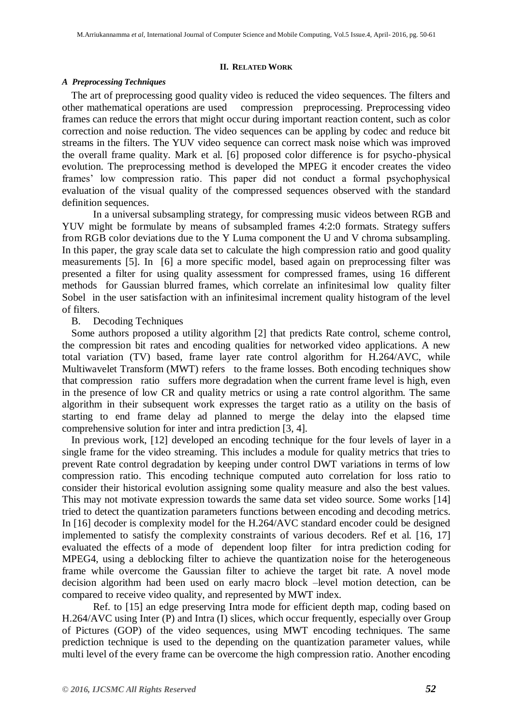#### **II. RELATED WORK**

#### *A Preprocessing Techniques*

The art of preprocessing good quality video is reduced the video sequences. The filters and other mathematical operations are used compression preprocessing. Preprocessing video frames can reduce the errors that might occur during important reaction content, such as color correction and noise reduction. The video sequences can be appling by codec and reduce bit streams in the filters. The YUV video sequence can correct mask noise which was improved the overall frame quality. Mark et al. [6] proposed color difference is for psycho-physical evolution. The preprocessing method is developed the MPEG it encoder creates the video frames' low compression ratio. This paper did not conduct a formal psychophysical evaluation of the visual quality of the compressed sequences observed with the standard definition sequences.

In a universal subsampling strategy, for compressing music videos between RGB and YUV might be formulate by means of subsampled frames 4:2:0 formats. Strategy suffers from RGB color deviations due to the Y Luma component the U and V chroma subsampling. In this paper, the gray scale data set to calculate the high compression ratio and good quality measurements [5]. In [6] a more specific model, based again on preprocessing filter was presented a filter for using quality assessment for compressed frames, using 16 different methods for Gaussian blurred frames, which correlate an infinitesimal low quality filter Sobel in the user satisfaction with an infinitesimal increment quality histogram of the level of filters.

### B. Decoding Techniques

Some authors proposed a utility algorithm [2] that predicts Rate control, scheme control, the compression bit rates and encoding qualities for networked video applications. A new total variation (TV) based, frame layer rate control algorithm for H.264/AVC, while Multiwavelet Transform (MWT) refers to the frame losses. Both encoding techniques show that compression ratio suffers more degradation when the current frame level is high, even in the presence of low CR and quality metrics or using a rate control algorithm. The same algorithm in their subsequent work expresses the target ratio as a utility on the basis of starting to end frame delay ad planned to merge the delay into the elapsed time comprehensive solution for inter and intra prediction [3, 4].

In previous work, [12] developed an encoding technique for the four levels of layer in a single frame for the video streaming. This includes a module for quality metrics that tries to prevent Rate control degradation by keeping under control DWT variations in terms of low compression ratio. This encoding technique computed auto correlation for loss ratio to consider their historical evolution assigning some quality measure and also the best values. This may not motivate expression towards the same data set video source. Some works [14] tried to detect the quantization parameters functions between encoding and decoding metrics. In [16] decoder is complexity model for the H.264/AVC standard encoder could be designed implemented to satisfy the complexity constraints of various decoders. Ref et al. [16, 17] evaluated the effects of a mode of dependent loop filter for intra prediction coding for MPEG4, using a deblocking filter to achieve the quantization noise for the heterogeneous frame while overcome the Gaussian filter to achieve the target bit rate. A novel mode decision algorithm had been used on early macro block –level motion detection, can be compared to receive video quality, and represented by MWT index.

Ref. to [15] an edge preserving Intra mode for efficient depth map, coding based on H.264/AVC using Inter (P) and Intra (I) slices, which occur frequently, especially over Group of Pictures (GOP) of the video sequences, using MWT encoding techniques. The same prediction technique is used to the depending on the quantization parameter values, while multi level of the every frame can be overcome the high compression ratio. Another encoding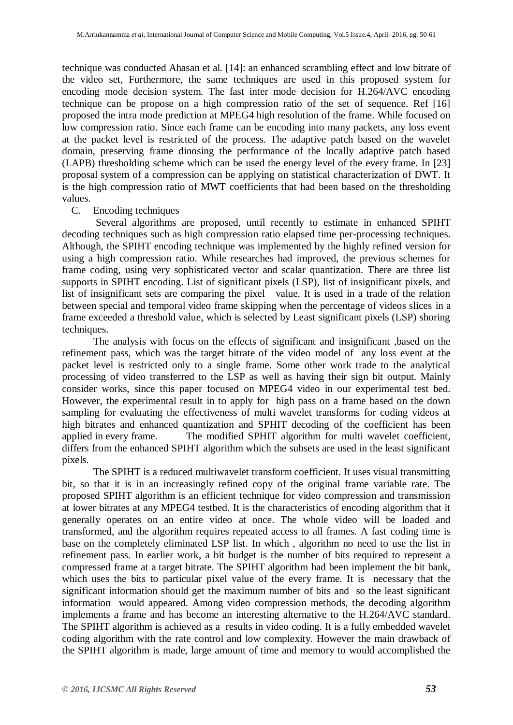technique was conducted Ahasan et al. [14]: an enhanced scrambling effect and low bitrate of the video set, Furthermore, the same techniques are used in this proposed system for encoding mode decision system. The fast inter mode decision for H.264/AVC encoding technique can be propose on a high compression ratio of the set of sequence. Ref [16] proposed the intra mode prediction at MPEG4 high resolution of the frame. While focused on low compression ratio. Since each frame can be encoding into many packets, any loss event at the packet level is restricted of the process. The adaptive patch based on the wavelet domain, preserving frame dinosing the performance of the locally adaptive patch based (LAPB) thresholding scheme which can be used the energy level of the every frame. In [23] proposal system of a compression can be applying on statistical characterization of DWT. It is the high compression ratio of MWT coefficients that had been based on the thresholding values.

# C. Encoding techniques

Several algorithms are proposed, until recently to estimate in enhanced SPIHT decoding techniques such as high compression ratio elapsed time per-processing techniques. Although, the SPIHT encoding technique was implemented by the highly refined version for using a high compression ratio. While researches had improved, the previous schemes for frame coding, using very sophisticated vector and scalar quantization. There are three list supports in SPIHT encoding. List of significant pixels (LSP), list of insignificant pixels, and list of insignificant sets are comparing the pixel value. It is used in a trade of the relation between special and temporal video frame skipping when the percentage of videos slices in a frame exceeded a threshold value, which is selected by Least significant pixels (LSP) shoring techniques.

The analysis with focus on the effects of significant and insignificant ,based on the refinement pass, which was the target bitrate of the video model of any loss event at the packet level is restricted only to a single frame. Some other work trade to the analytical processing of video transferred to the LSP as well as having their sign bit output. Mainly consider works, since this paper focused on MPEG4 video in our experimental test bed. However, the experimental result in to apply for high pass on a frame based on the down sampling for evaluating the effectiveness of multi wavelet transforms for coding videos at high bitrates and enhanced quantization and SPHIT decoding of the coefficient has been applied in every frame. The modified SPHIT algorithm for multi wavelet coefficient, differs from the enhanced SPIHT algorithm which the subsets are used in the least significant pixels.

The SPIHT is a reduced multiwavelet transform coefficient. It uses visual transmitting bit, so that it is in an increasingly refined copy of the original frame variable rate. The proposed SPIHT algorithm is an efficient technique for video compression and transmission at lower bitrates at any MPEG4 testbed. It is the characteristics of encoding algorithm that it generally operates on an entire video at once. The whole video will be loaded and transformed, and the algorithm requires repeated access to all frames. A fast coding time is base on the completely eliminated LSP list. In which , algorithm no need to use the list in refinement pass. In earlier work, a bit budget is the number of bits required to represent a compressed frame at a target bitrate. The SPIHT algorithm had been implement the bit bank, which uses the bits to particular pixel value of the every frame. It is necessary that the significant information should get the maximum number of bits and so the least significant information would appeared. Among video compression methods, the decoding algorithm implements a frame and has become an interesting alternative to the H.264/AVC standard. The SPIHT algorithm is achieved as a results in video coding. It is a fully embedded wavelet coding algorithm with the rate control and low complexity. However the main drawback of the SPIHT algorithm is made, large amount of time and memory to would accomplished the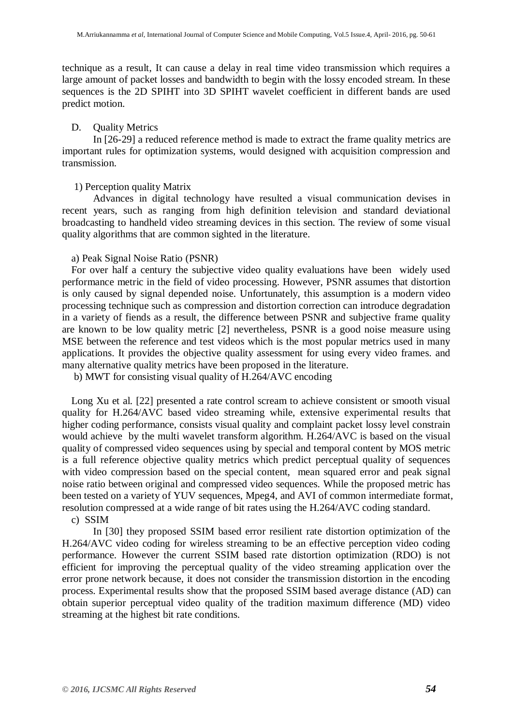technique as a result, It can cause a delay in real time video transmission which requires a large amount of packet losses and bandwidth to begin with the lossy encoded stream. In these sequences is the 2D SPIHT into 3D SPIHT wavelet coefficient in different bands are used predict motion.

### D. Quality Metrics

In [26-29] a reduced reference method is made to extract the frame quality metrics are important rules for optimization systems, would designed with acquisition compression and transmission.

#### 1) Perception quality Matrix

Advances in digital technology have resulted a visual communication devises in recent years, such as ranging from high definition television and standard deviational broadcasting to handheld video streaming devices in this section. The review of some visual quality algorithms that are common sighted in the literature.

a) Peak Signal Noise Ratio (PSNR)

For over half a century the subjective video quality evaluations have been widely used performance metric in the field of video processing. However, PSNR assumes that distortion is only caused by signal depended noise. Unfortunately, this assumption is a modern video processing technique such as compression and distortion correction can introduce degradation in a variety of fiends as a result, the difference between PSNR and subjective frame quality are known to be low quality metric [2] nevertheless, PSNR is a good noise measure using MSE between the reference and test videos which is the most popular metrics used in many applications. It provides the objective quality assessment for using every video frames. and many alternative quality metrics have been proposed in the literature.

b) MWT for consisting visual quality of H.264/AVC encoding

Long Xu et al. [22] presented a rate control scream to achieve consistent or smooth visual quality for H.264/AVC based video streaming while, extensive experimental results that higher coding performance, consists visual quality and complaint packet lossy level constrain would achieve by the multi wavelet transform algorithm. H.264/AVC is based on the visual quality of compressed video sequences using by special and temporal content by MOS metric is a full reference objective quality metrics which predict perceptual quality of sequences with video compression based on the special content, mean squared error and peak signal noise ratio between original and compressed video sequences. While the proposed metric has been tested on a variety of YUV sequences, Mpeg4, and AVI of common intermediate format, resolution compressed at a wide range of bit rates using the H.264/AVC coding standard.

c) SSIM

In [30] they proposed SSIM based error resilient rate distortion optimization of the H.264/AVC video coding for wireless streaming to be an effective perception video coding performance. However the current SSIM based rate distortion optimization (RDO) is not efficient for improving the perceptual quality of the video streaming application over the error prone network because, it does not consider the transmission distortion in the encoding process. Experimental results show that the proposed SSIM based average distance (AD) can obtain superior perceptual video quality of the tradition maximum difference (MD) video streaming at the highest bit rate conditions.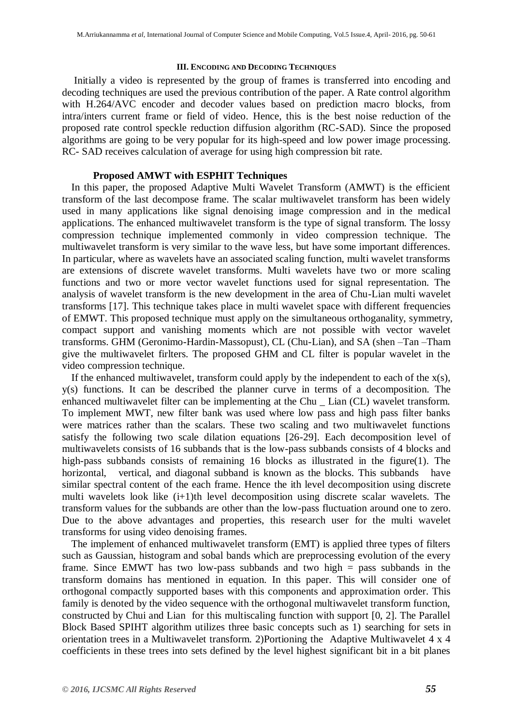#### **III. ENCODING AND DECODING TECHNIQUES**

Initially a video is represented by the group of frames is transferred into encoding and decoding techniques are used the previous contribution of the paper. A Rate control algorithm with H.264/AVC encoder and decoder values based on prediction macro blocks, from intra/inters current frame or field of video. Hence, this is the best noise reduction of the proposed rate control speckle reduction diffusion algorithm (RC-SAD). Since the proposed algorithms are going to be very popular for its high-speed and low power image processing. RC- SAD receives calculation of average for using high compression bit rate.

# **Proposed AMWT with ESPHIT Techniques**

In this paper, the proposed Adaptive Multi Wavelet Transform (AMWT) is the efficient transform of the last decompose frame. The scalar multiwavelet transform has been widely used in many applications like signal denoising image compression and in the medical applications. The enhanced multiwavelet transform is the type of signal transform. The lossy compression technique implemented commonly in video compression technique. The multiwavelet transform is very similar to the wave less, but have some important differences. In particular, where as wavelets have an associated scaling function, multi wavelet transforms are extensions of discrete wavelet transforms. Multi wavelets have two or more scaling functions and two or more vector wavelet functions used for signal representation. The analysis of wavelet transform is the new development in the area of Chu-Lian multi wavelet transforms [17]. This technique takes place in multi wavelet space with different frequencies of EMWT. This proposed technique must apply on the simultaneous orthoganality, symmetry, compact support and vanishing moments which are not possible with vector wavelet transforms. GHM (Geronimo-Hardin-Massopust), CL (Chu-Lian), and SA (shen –Tan –Tham give the multiwavelet firlters. The proposed GHM and CL filter is popular wavelet in the video compression technique.

If the enhanced multiwavelet, transform could apply by the independent to each of the  $x(s)$ , y(s) functions. It can be described the planner curve in terms of a decomposition. The enhanced multiwavelet filter can be implementing at the Chu \_ Lian (CL) wavelet transform. To implement MWT, new filter bank was used where low pass and high pass filter banks were matrices rather than the scalars. These two scaling and two multiwavelet functions satisfy the following two scale dilation equations [26-29]. Each decomposition level of multiwavelets consists of 16 subbands that is the low-pass subbands consists of 4 blocks and high-pass subbands consists of remaining 16 blocks as illustrated in the figure(1). The horizontal, vertical, and diagonal subband is known as the blocks. This subbands have similar spectral content of the each frame. Hence the ith level decomposition using discrete multi wavelets look like (i+1)th level decomposition using discrete scalar wavelets. The transform values for the subbands are other than the low-pass fluctuation around one to zero. Due to the above advantages and properties, this research user for the multi wavelet transforms for using video denoising frames.

The implement of enhanced multiwavelet transform (EMT) is applied three types of filters such as Gaussian, histogram and sobal bands which are preprocessing evolution of the every frame. Since EMWT has two low-pass subbands and two high = pass subbands in the transform domains has mentioned in equation. In this paper. This will consider one of orthogonal compactly supported bases with this components and approximation order. This family is denoted by the video sequence with the orthogonal multiwavelet transform function, constructed by Chui and Lian for this multiscaling function with support [0, 2]. The Parallel Block Based SPIHT algorithm utilizes three basic concepts such as 1) searching for sets in orientation trees in a Multiwavelet transform. 2)Portioning the Adaptive Multiwavelet 4 x 4 coefficients in these trees into sets defined by the level highest significant bit in a bit planes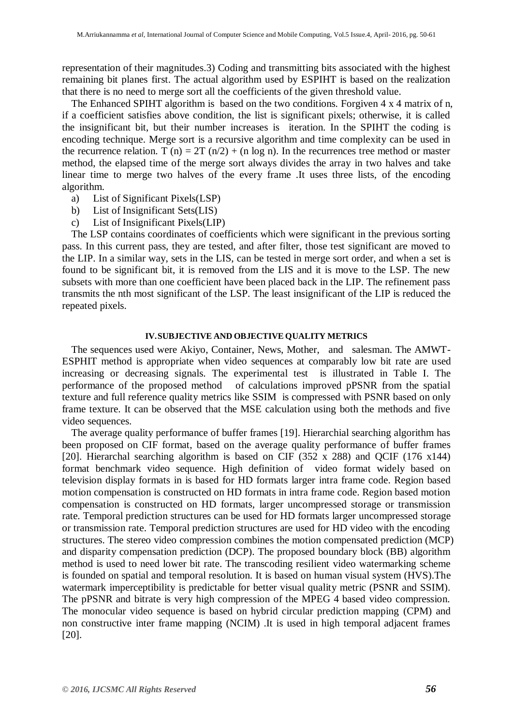representation of their magnitudes.3) Coding and transmitting bits associated with the highest remaining bit planes first. The actual algorithm used by ESPIHT is based on the realization that there is no need to merge sort all the coefficients of the given threshold value.

The Enhanced SPIHT algorithm is based on the two conditions. Forgiven 4 x 4 matrix of n, if a coefficient satisfies above condition, the list is significant pixels; otherwise, it is called the insignificant bit, but their number increases is iteration. In the SPIHT the coding is encoding technique. Merge sort is a recursive algorithm and time complexity can be used in the recurrence relation. T (n) =  $2T (n/2) + (n \log n)$ . In the recurrences tree method or master method, the elapsed time of the merge sort always divides the array in two halves and take linear time to merge two halves of the every frame .It uses three lists, of the encoding algorithm.

- a) List of Significant Pixels(LSP)
- b) List of Insignificant Sets(LIS)
- c) List of Insignificant Pixels(LIP)

The LSP contains coordinates of coefficients which were significant in the previous sorting pass. In this current pass, they are tested, and after filter, those test significant are moved to the LIP. In a similar way, sets in the LIS, can be tested in merge sort order, and when a set is found to be significant bit, it is removed from the LIS and it is move to the LSP. The new subsets with more than one coefficient have been placed back in the LIP. The refinement pass transmits the nth most significant of the LSP. The least insignificant of the LIP is reduced the repeated pixels.

#### **IV.SUBJECTIVE AND OBJECTIVE QUALITY METRICS**

The sequences used were Akiyo, Container, News, Mother, and salesman. The AMWT-ESPHIT method is appropriate when video sequences at comparably low bit rate are used increasing or decreasing signals. The experimental test is illustrated in Table I. The performance of the proposed method of calculations improved pPSNR from the spatial texture and full reference quality metrics like SSIM is compressed with PSNR based on only frame texture. It can be observed that the MSE calculation using both the methods and five video sequences.

The average quality performance of buffer frames [19]. Hierarchial searching algorithm has been proposed on CIF format, based on the average quality performance of buffer frames [20]. Hierarchal searching algorithm is based on CIF (352 x 288) and QCIF (176 x144) format benchmark video sequence. High definition of video format widely based on television display formats in is based for HD formats larger intra frame code. Region based motion compensation is constructed on HD formats in intra frame code. Region based motion compensation is constructed on HD formats, larger uncompressed storage or transmission rate. Temporal prediction structures can be used for HD formats larger uncompressed storage or transmission rate. Temporal prediction structures are used for HD video with the encoding structures. The stereo video compression combines the motion compensated prediction (MCP) and disparity compensation prediction (DCP). The proposed boundary block (BB) algorithm method is used to need lower bit rate. The transcoding resilient video watermarking scheme is founded on spatial and temporal resolution. It is based on human visual system (HVS).The watermark imperceptibility is predictable for better visual quality metric (PSNR and SSIM). The pPSNR and bitrate is very high compression of the MPEG 4 based video compression. The monocular video sequence is based on hybrid circular prediction mapping (CPM) and non constructive inter frame mapping (NCIM) .It is used in high temporal adjacent frames [20].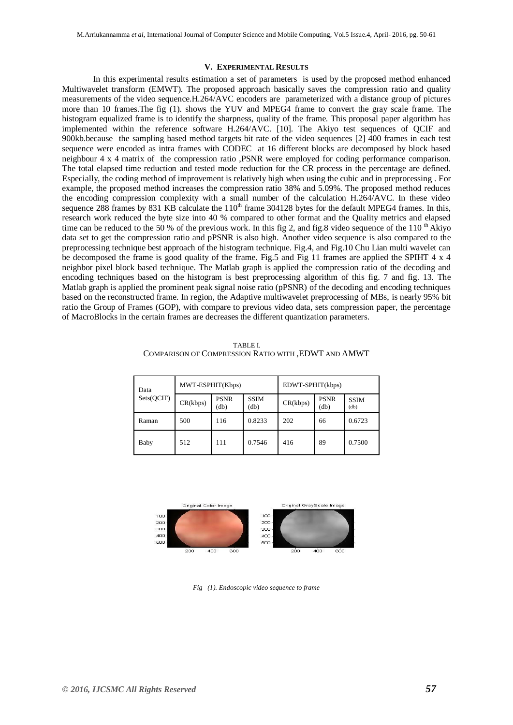#### **V. EXPERIMENTAL RESULTS**

In this experimental results estimation a set of parameters is used by the proposed method enhanced Multiwavelet transform (EMWT). The proposed approach basically saves the compression ratio and quality measurements of the video sequence.H.264/AVC encoders are parameterized with a distance group of pictures more than 10 frames.The fig (1). shows the YUV and MPEG4 frame to convert the gray scale frame. The histogram equalized frame is to identify the sharpness, quality of the frame. This proposal paper algorithm has implemented within the reference software H.264/AVC. [10]. The Akiyo test sequences of QCIF and 900kb.because the sampling based method targets bit rate of the video sequences [2] 400 frames in each test sequence were encoded as intra frames with CODEC at 16 different blocks are decomposed by block based neighbour 4 x 4 matrix of the compression ratio ,PSNR were employed for coding performance comparison. The total elapsed time reduction and tested mode reduction for the CR process in the percentage are defined. Especially, the coding method of improvement is relatively high when using the cubic and in preprocessing . For example, the proposed method increases the compression ratio 38% and 5.09%. The proposed method reduces the encoding compression complexity with a small number of the calculation H.264/AVC. In these video sequence 288 frames by 831 KB calculate the 110<sup>th</sup> frame 304128 bytes for the default MPEG4 frames. In this, research work reduced the byte size into 40 % compared to other format and the Quality metrics and elapsed time can be reduced to the 50 % of the previous work. In this fig 2, and fig.8 video sequence of the 110<sup>th</sup> Akiyo data set to get the compression ratio and pPSNR is also high. Another video sequence is also compared to the preprocessing technique best approach of the histogram technique. Fig.4, and Fig.10 Chu Lian multi wavelet can be decomposed the frame is good quality of the frame. Fig.5 and Fig 11 frames are applied the SPIHT 4 x 4 neighbor pixel block based technique. The Matlab graph is applied the compression ratio of the decoding and encoding techniques based on the histogram is best preprocessing algorithm of this fig. 7 and fig. 13. The Matlab graph is applied the prominent peak signal noise ratio (pPSNR) of the decoding and encoding techniques based on the reconstructed frame. In region, the Adaptive multiwavelet preprocessing of MBs, is nearly 95% bit ratio the Group of Frames (GOP), with compare to previous video data, sets compression paper, the percentage of MacroBlocks in the certain frames are decreases the different quantization parameters.

TABLE I. COMPARISON OF COMPRESSION RATIO WITH ,EDWT AND AMWT

| Data<br>Sets(QCIF) | MWT-ESPHIT(Kbps) |                     |                     | EDWT-SPHIT(kbps) |                     |                     |
|--------------------|------------------|---------------------|---------------------|------------------|---------------------|---------------------|
|                    | CR(kbps)         | <b>PSNR</b><br>(db) | <b>SSIM</b><br>(db) | CR(kbps)         | <b>PSNR</b><br>(db) | <b>SSIM</b><br>(db) |
| Raman              | 500              | 116                 | 0.8233              | 202              | 66                  | 0.6723              |
| Baby               | 512              | 111                 | 0.7546              | 416              | 89                  | 0.7500              |



*Fig (1). Endoscopic video sequence to frame*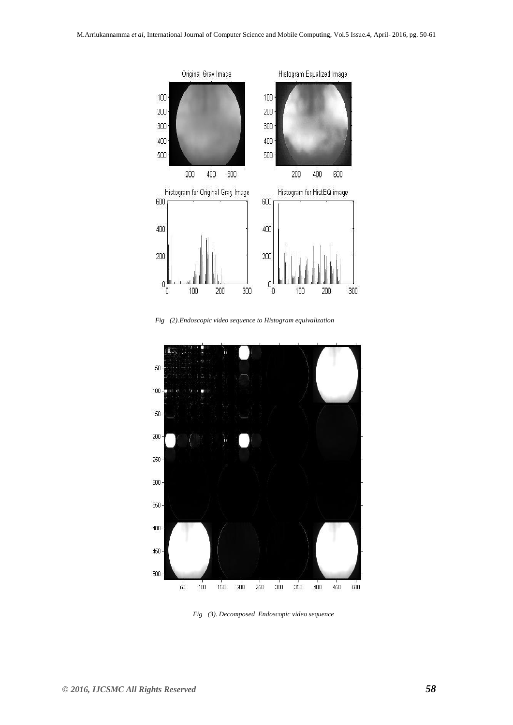

*Fig (2).Endoscopic video sequence to Histogram equivalization* 



 *Fig (3). Decomposed Endoscopic video sequence*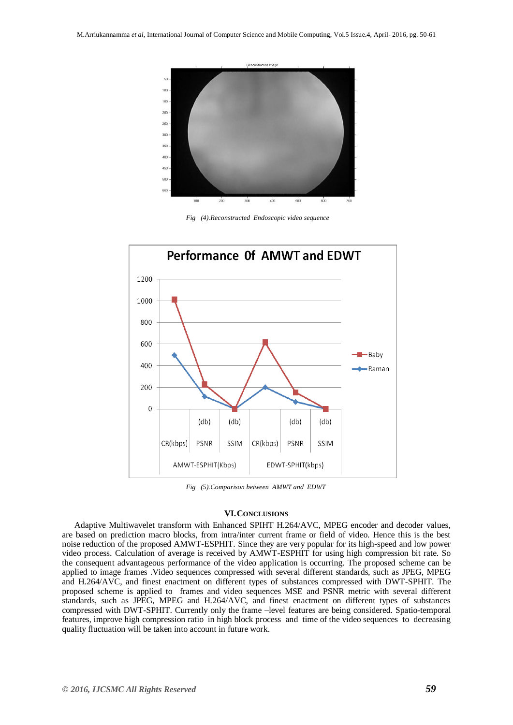

*Fig (4).Reconstructed Endoscopic video sequence* 



*Fig (5).Comparison between AMWT and EDWT*

#### **VI.CONCLUSIONS**

Adaptive Multiwavelet transform with Enhanced SPIHT H.264/AVC, MPEG encoder and decoder values, are based on prediction macro blocks, from intra/inter current frame or field of video. Hence this is the best noise reduction of the proposed AMWT-ESPHIT. Since they are very popular for its high-speed and low power video process. Calculation of average is received by AMWT-ESPHIT for using high compression bit rate. So the consequent advantageous performance of the video application is occurring. The proposed scheme can be applied to image frames .Video sequences compressed with several different standards, such as JPEG, MPEG and H.264/AVC, and finest enactment on different types of substances compressed with DWT-SPHIT. The proposed scheme is applied to frames and video sequences MSE and PSNR metric with several different standards, such as JPEG, MPEG and H.264/AVC, and finest enactment on different types of substances compressed with DWT-SPHIT. Currently only the frame –level features are being considered. Spatio-temporal features, improve high compression ratio in high block process and time of the video sequences to decreasing quality fluctuation will be taken into account in future work.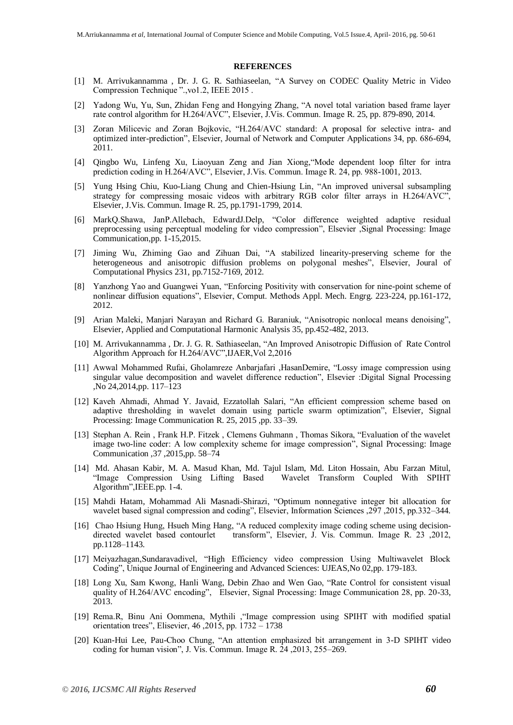#### **REFERENCES**

- [1] M. Arrivukannamma , Dr. J. G. R. Sathiaseelan, "A Survey on CODEC Quality Metric in Video Compression Technique ".,vo1.2, IEEE 2015 .
- [2] Yadong Wu, Yu, Sun, Zhidan Feng and Hongying Zhang, "A novel total variation based frame layer rate control algorithm for H.264/AVC", Elsevier, J.Vis. Commun. Image R. 25, pp. 879-890, 2014.
- [3] Zoran Milicevic and Zoran Bojkovic, "H.264/AVC standard: A proposal for selective intra- and optimized inter-prediction", Elsevier, Journal of Network and Computer Applications 34, pp. 686-694, 2011.
- [4] Qingbo Wu, Linfeng Xu, Liaoyuan Zeng and Jian Xiong,"Mode dependent loop filter for intra prediction coding in H.264/AVC", Elsevier, J.Vis. Commun. Image R. 24, pp. 988-1001, 2013.
- [5] Yung Hsing Chiu, Kuo-Liang Chung and Chien-Hsiung Lin, "An improved universal subsampling strategy for compressing mosaic videos with arbitrary RGB color filter arrays in H.264/AVC", Elsevier, J.Vis. Commun. Image R. 25, pp.1791-1799, 2014.
- [6] MarkQ.Shawa, JanP.Allebach, EdwardJ.Delp, "Color difference weighted adaptive residual preprocessing using perceptual modeling for video compression", Elsevier ,Signal Processing: Image Communication,pp. 1-15,2015.
- [7] Jiming Wu, Zhiming Gao and Zihuan Dai, "A stabilized linearity-preserving scheme for the heterogeneous and anisotropic diffusion problems on polygonal meshes", Elsevier, Joural of Computational Physics 231, pp.7152-7169, 2012.
- [8] Yanzhong Yao and Guangwei Yuan, "Enforcing Positivity with conservation for nine-point scheme of nonlinear diffusion equations", Elsevier, Comput. Methods Appl. Mech. Engrg. 223-224, pp.161-172, 2012.
- [9] Arian Maleki, Manjari Narayan and Richard G. Baraniuk, "Anisotropic nonlocal means denoising", Elsevier, Applied and Computational Harmonic Analysis 35, pp.452-482, 2013.
- [10] M. Arrivukannamma , Dr. J. G. R. Sathiaseelan, "An Improved Anisotropic Diffusion of Rate Control Algorithm Approach for H.264/AVC",IJAER,Vol 2,2016
- [11] Awwal Mohammed Rufai, Gholamreze Anbarjafari ,HasanDemire, "Lossy image compression using singular value decomposition and wavelet difference reduction", Elsevier :Digital Signal Processing ,No 24,2014,pp. 117–123
- [12] Kaveh Ahmadi, Ahmad Y. Javaid, Ezzatollah Salari, "An efficient compression scheme based on adaptive thresholding in wavelet domain using particle swarm optimization", Elsevier, Signal Processing: Image Communication R. 25, 2015 ,pp. 33–39.
- [13] Stephan A. Rein , Frank H.P. Fitzek , Clemens Guhmann , Thomas Sikora, "Evaluation of the wavelet image two-line coder: A low complexity scheme for image compression", Signal Processing: Image Communication ,37 ,2015,pp. 58–74
- [14] Md. Ahasan Kabir, M. A. Masud Khan, Md. Tajul Islam, Md. Liton Hossain, Abu Farzan Mitul, "Image Compression Using Lifting Based Wavelet Transform Coupled With SPIHT Algorithm",IEEE.pp. 1-4.
- [15] Mahdi Hatam, Mohammad Ali Masnadi-Shirazi, "Optimum nonnegative integer bit allocation for wavelet based signal compression and coding", Elsevier, Information Sciences ,297 ,2015, pp.332–344.
- [16] Chao Hsiung Hung, Hsueh Ming Hang, "A reduced complexity image coding scheme using decisiondirected wavelet based contourlet transform", Elsevier, J. Vis. Commun. Image R. 23 ,2012, pp.1128–1143.
- [17] Meiyazhagan,Sundaravadivel, "High Efficiency video compression Using Multiwavelet Block Coding", Unique Journal of Engineering and Advanced Sciences: UJEAS,No 02,pp. 179-183.
- [18] Long Xu, Sam Kwong, Hanli Wang, Debin Zhao and Wen Gao, "Rate Control for consistent visual quality of H.264/AVC encoding", Elsevier, Signal Processing: Image Communication 28, pp. 20-33, 2013.
- [19] Rema.R, Binu Ani Oommena, Mythili ,"Image compression using SPIHT with modified spatial orientation trees", Elisevier, 46 ,2015, pp. 1732 – 1738
- [20] Kuan-Hui Lee, Pau-Choo Chung, "An attention emphasized bit arrangement in 3-D SPIHT video coding for human vision", J. Vis. Commun. Image R. 24 ,2013, 255–269.